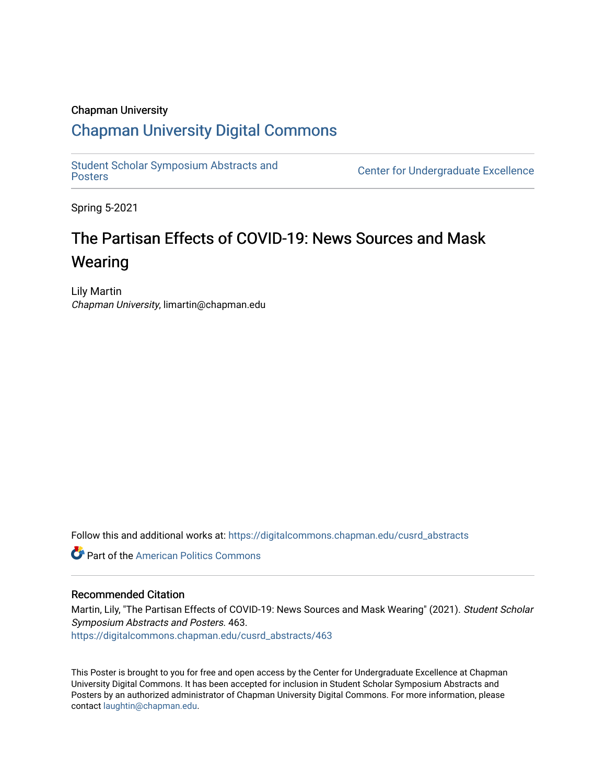### Chapman University

### [Chapman University Digital Commons](https://digitalcommons.chapman.edu/)

[Student Scholar Symposium Abstracts and](https://digitalcommons.chapman.edu/cusrd_abstracts) 

**Center for Undergraduate Excellence** 

Spring 5-2021

### The Partisan Effects of COVID-19: News Sources and Mask **Wearing**

Lily Martin Chapman University, limartin@chapman.edu

Follow this and additional works at: [https://digitalcommons.chapman.edu/cusrd\\_abstracts](https://digitalcommons.chapman.edu/cusrd_abstracts?utm_source=digitalcommons.chapman.edu%2Fcusrd_abstracts%2F463&utm_medium=PDF&utm_campaign=PDFCoverPages) 

**Part of the American Politics Commons** 

### Recommended Citation

Martin, Lily, "The Partisan Effects of COVID-19: News Sources and Mask Wearing" (2021). Student Scholar Symposium Abstracts and Posters. 463. [https://digitalcommons.chapman.edu/cusrd\\_abstracts/463](https://digitalcommons.chapman.edu/cusrd_abstracts/463?utm_source=digitalcommons.chapman.edu%2Fcusrd_abstracts%2F463&utm_medium=PDF&utm_campaign=PDFCoverPages) 

This Poster is brought to you for free and open access by the Center for Undergraduate Excellence at Chapman University Digital Commons. It has been accepted for inclusion in Student Scholar Symposium Abstracts and Posters by an authorized administrator of Chapman University Digital Commons. For more information, please contact [laughtin@chapman.edu](mailto:laughtin@chapman.edu).